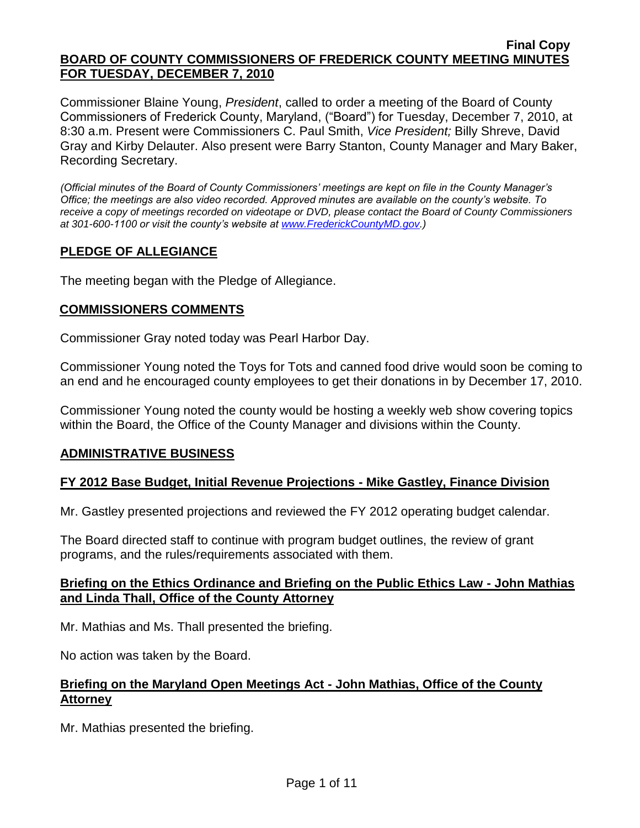#### **Final Copy BOARD OF COUNTY COMMISSIONERS OF FREDERICK COUNTY MEETING MINUTES FOR TUESDAY, DECEMBER 7, 2010**

Commissioner Blaine Young, *President*, called to order a meeting of the Board of County Commissioners of Frederick County, Maryland, ("Board") for Tuesday, December 7, 2010, at 8:30 a.m. Present were Commissioners C. Paul Smith, *Vice President;* Billy Shreve, David Gray and Kirby Delauter. Also present were Barry Stanton, County Manager and Mary Baker, Recording Secretary.

*(Official minutes of the Board of County Commissioners' meetings are kept on file in the County Manager's Office; the meetings are also video recorded. Approved minutes are available on the county's website. To receive a copy of meetings recorded on videotape or DVD, please contact the Board of County Commissioners at 301-600-1100 or visit the county's website at [www.FrederickCountyMD.gov.](http://www.frederickcountymd.gov/))*

## **PLEDGE OF ALLEGIANCE**

The meeting began with the Pledge of Allegiance.

#### **COMMISSIONERS COMMENTS**

Commissioner Gray noted today was Pearl Harbor Day.

Commissioner Young noted the Toys for Tots and canned food drive would soon be coming to an end and he encouraged county employees to get their donations in by December 17, 2010.

Commissioner Young noted the county would be hosting a weekly web show covering topics within the Board, the Office of the County Manager and divisions within the County.

#### **ADMINISTRATIVE BUSINESS**

#### **FY 2012 Base Budget, Initial Revenue Projections - Mike Gastley, Finance Division**

Mr. Gastley presented projections and reviewed the FY 2012 operating budget calendar.

The Board directed staff to continue with program budget outlines, the review of grant programs, and the rules/requirements associated with them.

#### **Briefing on the Ethics Ordinance and Briefing on the Public Ethics Law - John Mathias and Linda Thall, Office of the County Attorney**

Mr. Mathias and Ms. Thall presented the briefing.

No action was taken by the Board.

## **Briefing on the Maryland Open Meetings Act - John Mathias, Office of the County Attorney**

Mr. Mathias presented the briefing.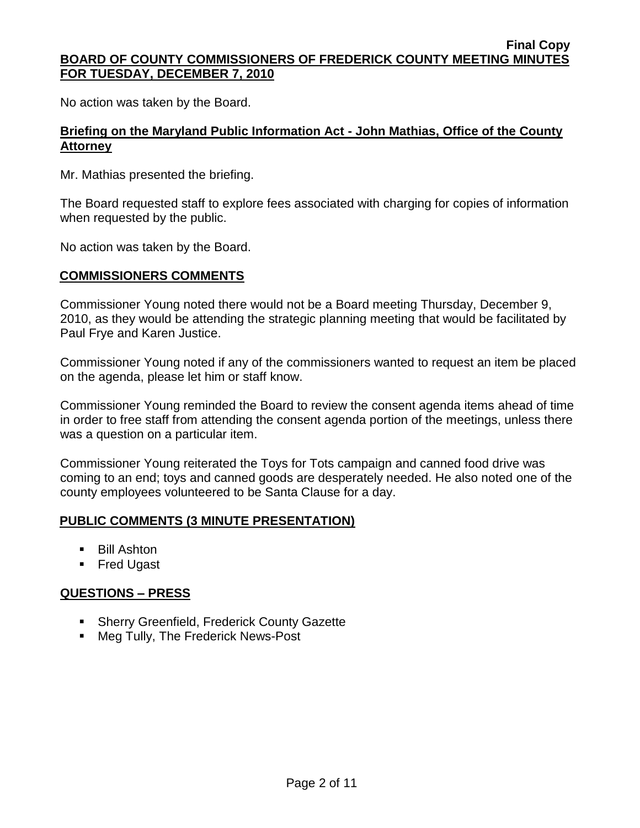#### **Final Copy BOARD OF COUNTY COMMISSIONERS OF FREDERICK COUNTY MEETING MINUTES FOR TUESDAY, DECEMBER 7, 2010**

No action was taken by the Board.

## **Briefing on the Maryland Public Information Act - John Mathias, Office of the County Attorney**

Mr. Mathias presented the briefing.

The Board requested staff to explore fees associated with charging for copies of information when requested by the public.

No action was taken by the Board.

## **COMMISSIONERS COMMENTS**

Commissioner Young noted there would not be a Board meeting Thursday, December 9, 2010, as they would be attending the strategic planning meeting that would be facilitated by Paul Frye and Karen Justice.

Commissioner Young noted if any of the commissioners wanted to request an item be placed on the agenda, please let him or staff know.

Commissioner Young reminded the Board to review the consent agenda items ahead of time in order to free staff from attending the consent agenda portion of the meetings, unless there was a question on a particular item.

Commissioner Young reiterated the Toys for Tots campaign and canned food drive was coming to an end; toys and canned goods are desperately needed. He also noted one of the county employees volunteered to be Santa Clause for a day.

#### **PUBLIC COMMENTS (3 MINUTE PRESENTATION)**

- **Bill Ashton**
- **Fred Ugast**

## **QUESTIONS – PRESS**

- **Sherry Greenfield, Frederick County Gazette**
- Meg Tully, The Frederick News-Post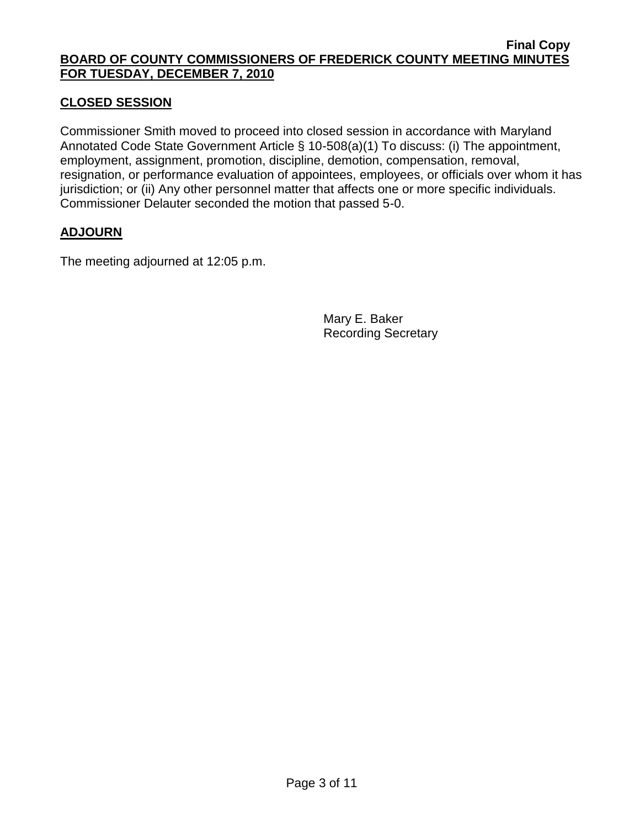#### **Final Copy BOARD OF COUNTY COMMISSIONERS OF FREDERICK COUNTY MEETING MINUTES FOR TUESDAY, DECEMBER 7, 2010**

## **CLOSED SESSION**

Commissioner Smith moved to proceed into closed session in accordance with Maryland Annotated Code State Government Article § 10-508(a)(1) To discuss: (i) The appointment, employment, assignment, promotion, discipline, demotion, compensation, removal, resignation, or performance evaluation of appointees, employees, or officials over whom it has jurisdiction; or (ii) Any other personnel matter that affects one or more specific individuals. Commissioner Delauter seconded the motion that passed 5-0.

## **ADJOURN**

The meeting adjourned at 12:05 p.m.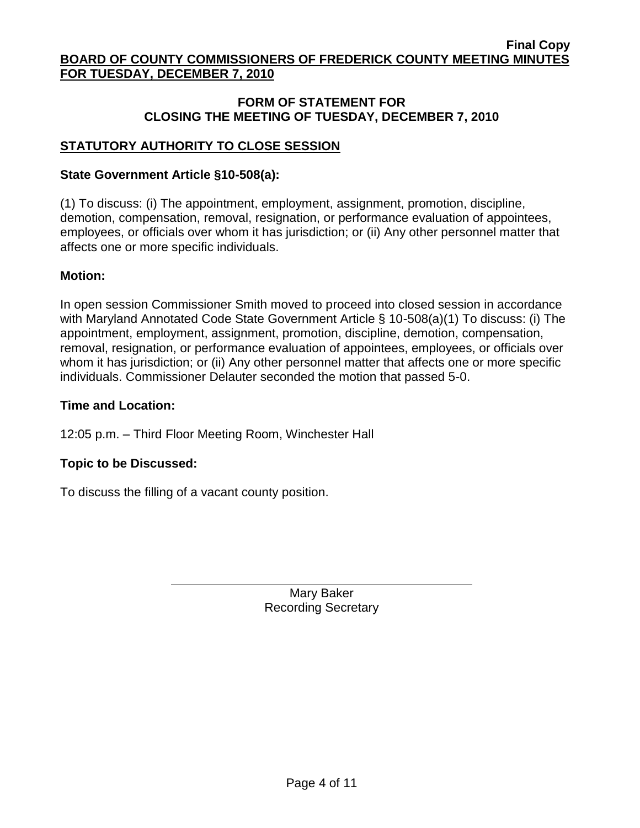## **STATUTORY AUTHORITY TO CLOSE SESSION**

#### **State Government Article §10-508(a):**

(1) To discuss: (i) The appointment, employment, assignment, promotion, discipline, demotion, compensation, removal, resignation, or performance evaluation of appointees, employees, or officials over whom it has jurisdiction; or (ii) Any other personnel matter that affects one or more specific individuals.

#### **Motion:**

In open session Commissioner Smith moved to proceed into closed session in accordance with Maryland Annotated Code State Government Article § 10-508(a)(1) To discuss: (i) The appointment, employment, assignment, promotion, discipline, demotion, compensation, removal, resignation, or performance evaluation of appointees, employees, or officials over whom it has jurisdiction; or (ii) Any other personnel matter that affects one or more specific individuals. Commissioner Delauter seconded the motion that passed 5-0.

#### **Time and Location:**

12:05 p.m. – Third Floor Meeting Room, Winchester Hall

#### **Topic to be Discussed:**

To discuss the filling of a vacant county position.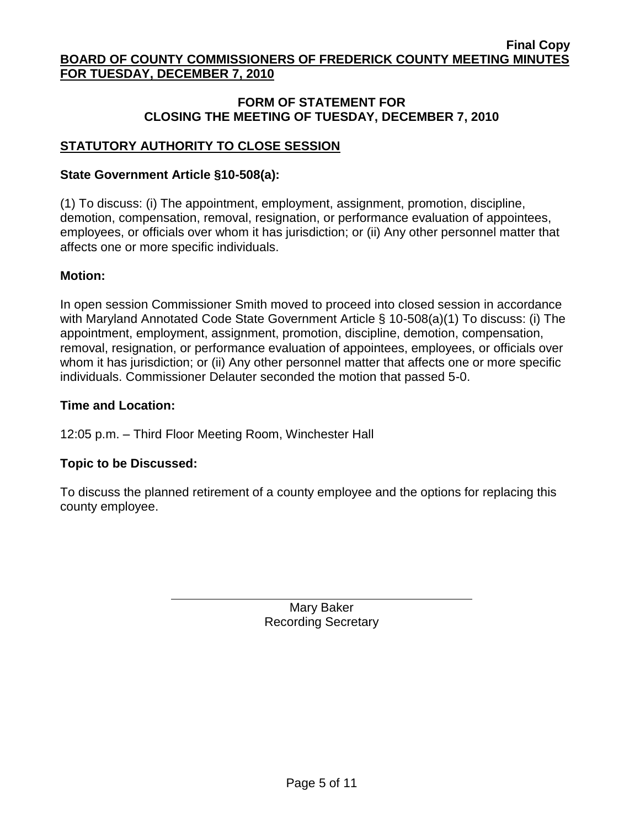## **STATUTORY AUTHORITY TO CLOSE SESSION**

#### **State Government Article §10-508(a):**

(1) To discuss: (i) The appointment, employment, assignment, promotion, discipline, demotion, compensation, removal, resignation, or performance evaluation of appointees, employees, or officials over whom it has jurisdiction; or (ii) Any other personnel matter that affects one or more specific individuals.

#### **Motion:**

In open session Commissioner Smith moved to proceed into closed session in accordance with Maryland Annotated Code State Government Article § 10-508(a)(1) To discuss: (i) The appointment, employment, assignment, promotion, discipline, demotion, compensation, removal, resignation, or performance evaluation of appointees, employees, or officials over whom it has jurisdiction; or (ii) Any other personnel matter that affects one or more specific individuals. Commissioner Delauter seconded the motion that passed 5-0.

#### **Time and Location:**

12:05 p.m. – Third Floor Meeting Room, Winchester Hall

#### **Topic to be Discussed:**

To discuss the planned retirement of a county employee and the options for replacing this county employee.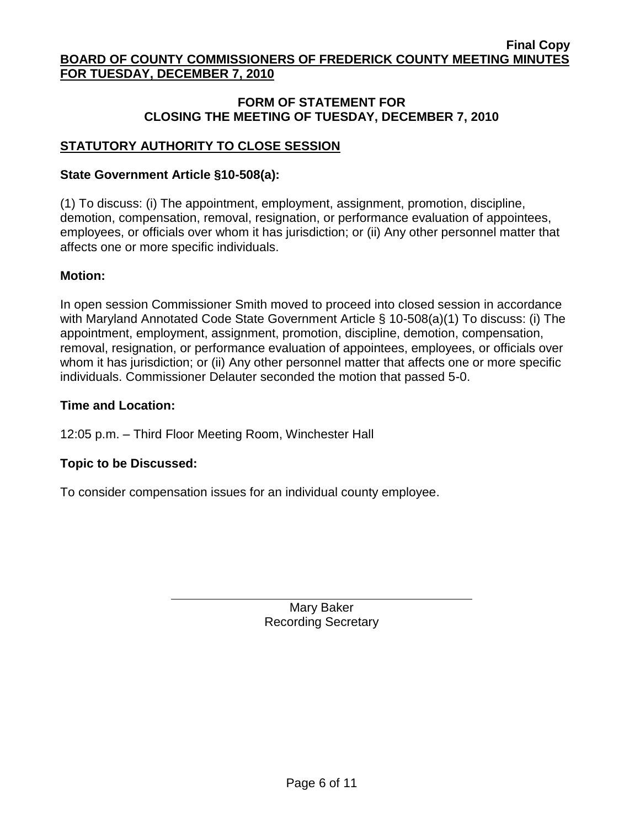## **STATUTORY AUTHORITY TO CLOSE SESSION**

#### **State Government Article §10-508(a):**

(1) To discuss: (i) The appointment, employment, assignment, promotion, discipline, demotion, compensation, removal, resignation, or performance evaluation of appointees, employees, or officials over whom it has jurisdiction; or (ii) Any other personnel matter that affects one or more specific individuals.

## **Motion:**

In open session Commissioner Smith moved to proceed into closed session in accordance with Maryland Annotated Code State Government Article § 10-508(a)(1) To discuss: (i) The appointment, employment, assignment, promotion, discipline, demotion, compensation, removal, resignation, or performance evaluation of appointees, employees, or officials over whom it has jurisdiction; or (ii) Any other personnel matter that affects one or more specific individuals. Commissioner Delauter seconded the motion that passed 5-0.

#### **Time and Location:**

12:05 p.m. – Third Floor Meeting Room, Winchester Hall

## **Topic to be Discussed:**

To consider compensation issues for an individual county employee.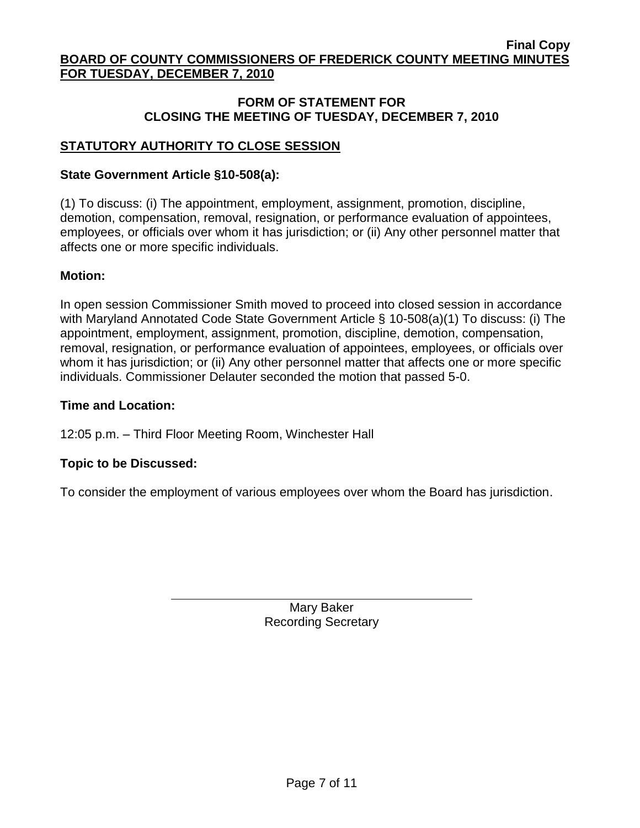## **STATUTORY AUTHORITY TO CLOSE SESSION**

#### **State Government Article §10-508(a):**

(1) To discuss: (i) The appointment, employment, assignment, promotion, discipline, demotion, compensation, removal, resignation, or performance evaluation of appointees, employees, or officials over whom it has jurisdiction; or (ii) Any other personnel matter that affects one or more specific individuals.

## **Motion:**

In open session Commissioner Smith moved to proceed into closed session in accordance with Maryland Annotated Code State Government Article § 10-508(a)(1) To discuss: (i) The appointment, employment, assignment, promotion, discipline, demotion, compensation, removal, resignation, or performance evaluation of appointees, employees, or officials over whom it has jurisdiction; or (ii) Any other personnel matter that affects one or more specific individuals. Commissioner Delauter seconded the motion that passed 5-0.

#### **Time and Location:**

12:05 p.m. – Third Floor Meeting Room, Winchester Hall

## **Topic to be Discussed:**

To consider the employment of various employees over whom the Board has jurisdiction.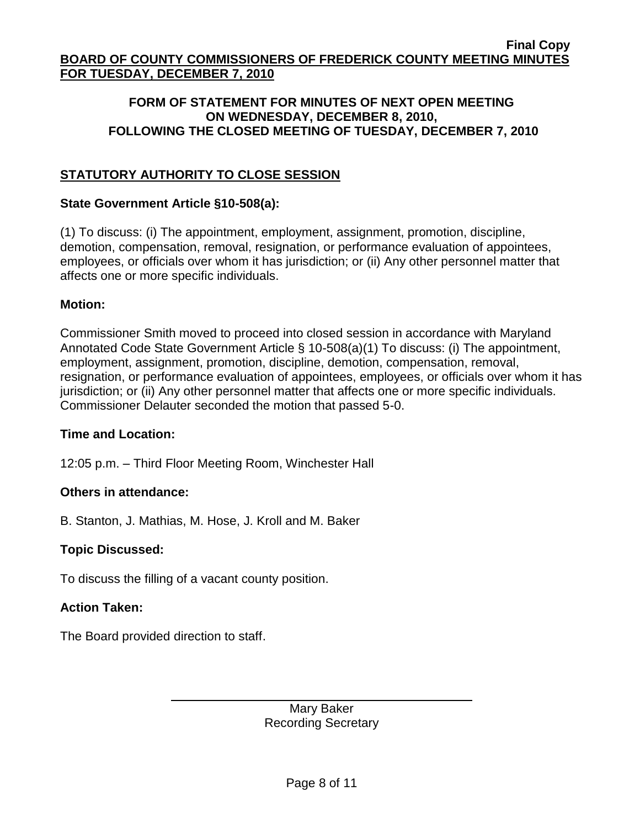## **STATUTORY AUTHORITY TO CLOSE SESSION**

#### **State Government Article §10-508(a):**

(1) To discuss: (i) The appointment, employment, assignment, promotion, discipline, demotion, compensation, removal, resignation, or performance evaluation of appointees, employees, or officials over whom it has jurisdiction; or (ii) Any other personnel matter that affects one or more specific individuals.

#### **Motion:**

Commissioner Smith moved to proceed into closed session in accordance with Maryland Annotated Code State Government Article § 10-508(a)(1) To discuss: (i) The appointment, employment, assignment, promotion, discipline, demotion, compensation, removal, resignation, or performance evaluation of appointees, employees, or officials over whom it has jurisdiction; or (ii) Any other personnel matter that affects one or more specific individuals. Commissioner Delauter seconded the motion that passed 5-0.

#### **Time and Location:**

12:05 p.m. – Third Floor Meeting Room, Winchester Hall

#### **Others in attendance:**

B. Stanton, J. Mathias, M. Hose, J. Kroll and M. Baker

#### **Topic Discussed:**

To discuss the filling of a vacant county position.

#### **Action Taken:**

The Board provided direction to staff.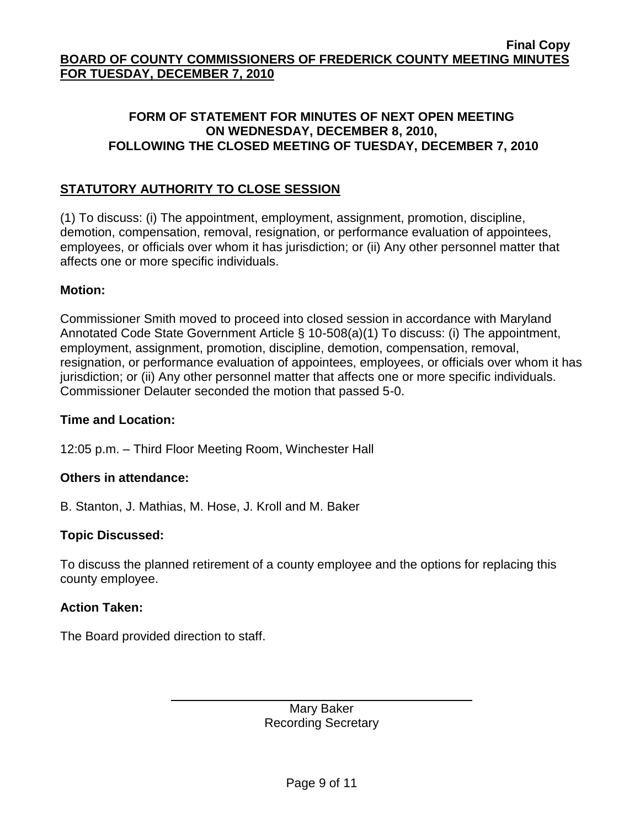## **STATUTORY AUTHORITY TO CLOSE SESSION**

(1) To discuss: (i) The appointment, employment, assignment, promotion, discipline, demotion, compensation, removal, resignation, or performance evaluation of appointees, employees, or officials over whom it has jurisdiction; or (ii) Any other personnel matter that affects one or more specific individuals.

#### **Motion:**

Commissioner Smith moved to proceed into closed session in accordance with Maryland Annotated Code State Government Article § 10-508(a)(1) To discuss: (i) The appointment, employment, assignment, promotion, discipline, demotion, compensation, removal, resignation, or performance evaluation of appointees, employees, or officials over whom it has jurisdiction; or (ii) Any other personnel matter that affects one or more specific individuals. Commissioner Delauter seconded the motion that passed 5-0.

#### **Time and Location:**

12:05 p.m. – Third Floor Meeting Room, Winchester Hall

#### **Others in attendance:**

B. Stanton, J. Mathias, M. Hose, J. Kroll and M. Baker

#### **Topic Discussed:**

To discuss the planned retirement of a county employee and the options for replacing this county employee.

#### **Action Taken:**

The Board provided direction to staff.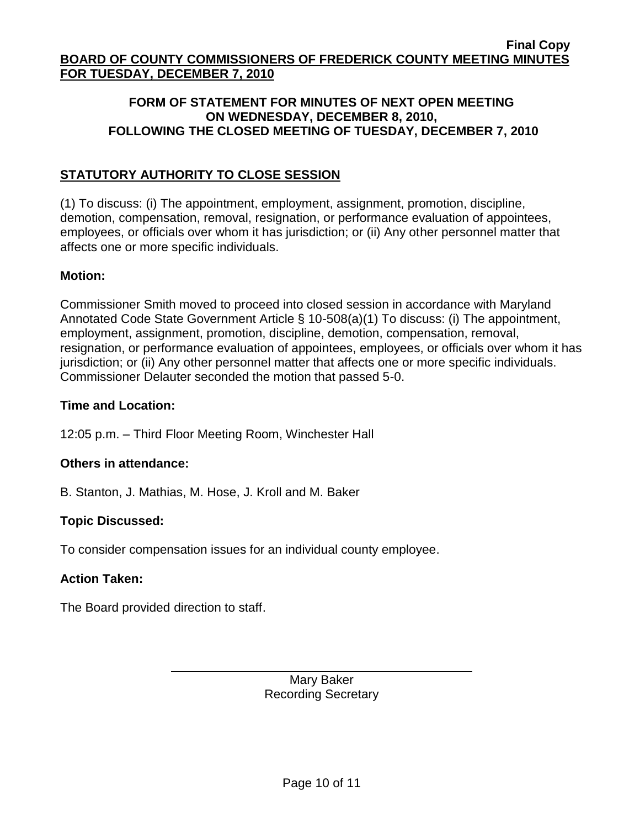## **STATUTORY AUTHORITY TO CLOSE SESSION**

(1) To discuss: (i) The appointment, employment, assignment, promotion, discipline, demotion, compensation, removal, resignation, or performance evaluation of appointees, employees, or officials over whom it has jurisdiction; or (ii) Any other personnel matter that affects one or more specific individuals.

#### **Motion:**

Commissioner Smith moved to proceed into closed session in accordance with Maryland Annotated Code State Government Article § 10-508(a)(1) To discuss: (i) The appointment, employment, assignment, promotion, discipline, demotion, compensation, removal, resignation, or performance evaluation of appointees, employees, or officials over whom it has jurisdiction; or (ii) Any other personnel matter that affects one or more specific individuals. Commissioner Delauter seconded the motion that passed 5-0.

#### **Time and Location:**

12:05 p.m. – Third Floor Meeting Room, Winchester Hall

#### **Others in attendance:**

B. Stanton, J. Mathias, M. Hose, J. Kroll and M. Baker

#### **Topic Discussed:**

To consider compensation issues for an individual county employee.

#### **Action Taken:**

The Board provided direction to staff.